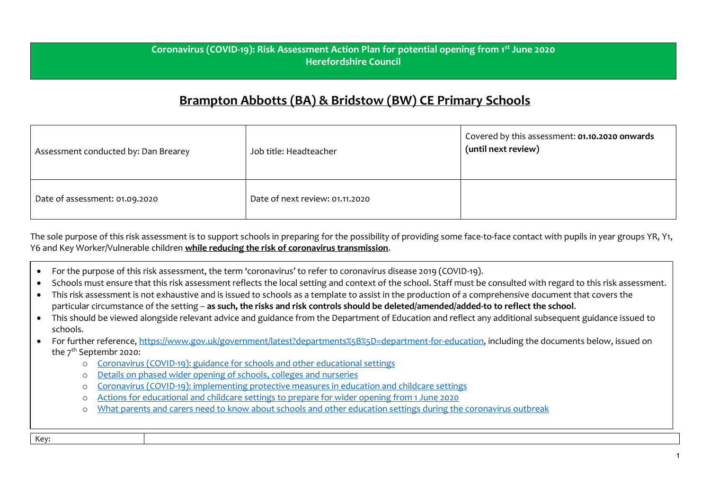## **Coronavirus (COVID-19): Risk Assessment Action Plan for potential opening from 1st June 2020 Herefordshire Council**

## **Brampton Abbotts (BA) & Bridstow (BW) CE Primary Schools**

| Assessment conducted by: Dan Brearey | Job title: Headteacher          | Covered by this assessment: 01.10.2020 onwards<br>(until next review) |
|--------------------------------------|---------------------------------|-----------------------------------------------------------------------|
| Date of assessment: 01.09.2020       | Date of next review: 01.11.2020 |                                                                       |

The sole purpose of this risk assessment is to support schools in preparing for the possibility of providing some face-to-face contact with pupils in year groups YR, Y1, Y6 and Key Worker/Vulnerable children **while reducing the risk of coronavirus transmission**.

- For the purpose of this risk assessment, the term 'coronavirus' to refer to coronavirus disease 2019 (COVID-19).
- Schools must ensure that this risk assessment reflects the local setting and context of the school. Staff must be consulted with regard to this risk assessment.
- This risk assessment is not exhaustive and is issued to schools as a template to assist in the production of a comprehensive document that covers the particular circumstance of the setting – **as such, the risks and risk controls should be deleted/amended/added-to to reflect the school**.
- This should be viewed alongside relevant advice and guidance from the Department of Education and reflect any additional subsequent guidance issued to schools.
- For further reference, [https://www.gov.uk/government/latest?departments%5B%5D=department-for-education,](https://www.gov.uk/government/latest?departments%5B%5D=department-for-education) including the documents below, issued on the 7<sup>th</sup> Septembr 2020:
	- o [Coronavirus \(COVID-19\): guidance for schools and other educational settings](https://www.gov.uk/government/collections/coronavirus-covid-19-guidance-for-schools-and-other-educational-settings)
	- o [Details on phased wider opening of schools, colleges and nurseries](https://www.gov.uk/government/news/details-on-phased-wider-opening-of-schools-colleges-and-nurseries)
	- o [Coronavirus \(COVID-19\): implementing protective measures in education and childcare settings](https://www.gov.uk/government/publications/coronavirus-covid-19-implementing-protective-measures-in-education-and-childcare-settings)
	- o [Actions for educational and childcare settings to prepare for wider opening from 1 June 2020](https://www.gov.uk/government/publications/actions-for-educational-and-childcare-settings-to-prepare-for-wider-opening-from-1-june-2020)
	- o [What parents and carers need to know about schools and other education settings during the coronavirus outbreak](https://www.gov.uk/government/publications/closure-of-educational-settings-information-for-parents-and-carers)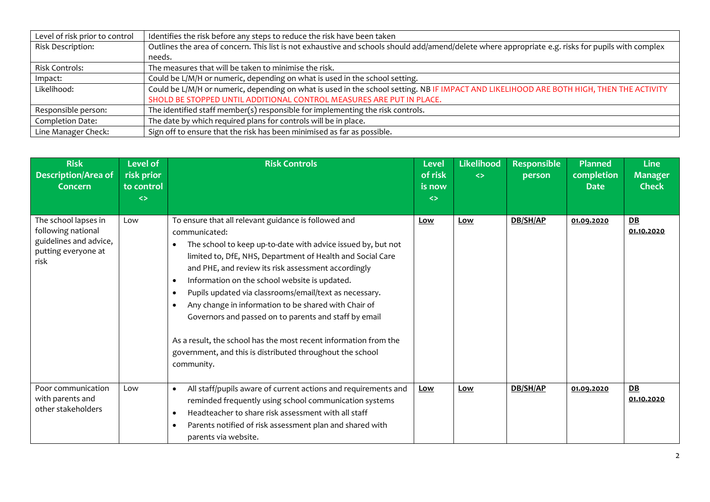| Level of risk prior to control | Identifies the risk before any steps to reduce the risk have been taken                                                                            |
|--------------------------------|----------------------------------------------------------------------------------------------------------------------------------------------------|
| Risk Description:              | Outlines the area of concern. This list is not exhaustive and schools should add/amend/delete where appropriate e.g. risks for pupils with complex |
|                                | needs.                                                                                                                                             |
| Risk Controls:                 | The measures that will be taken to minimise the risk.                                                                                              |
| Impact:                        | Could be L/M/H or numeric, depending on what is used in the school setting.                                                                        |
| Likelihood:                    | Could be L/M/H or numeric, depending on what is used in the school setting. NB IF IMPACT AND LIKELIHOOD ARE BOTH HIGH, THEN THE ACTIVITY           |
|                                | SHOLD BE STOPPED UNTIL ADDITIONAL CONTROL MEASURES ARE PUT IN PLACE.                                                                               |
| Responsible person:            | The identified staff member(s) responsible for implementing the risk controls.                                                                     |
| Completion Date:               | The date by which required plans for controls will be in place.                                                                                    |
| Line Manager Check:            | Sign off to ensure that the risk has been minimised as far as possible.                                                                            |

| <b>Risk</b><br><b>Description/Area of</b><br>Concern                                                | Level of<br>risk prior<br>to control<br>$\leftrightarrow$ | <b>Risk Controls</b>                                                                                                                                                                                                                                                                                                                                                                                                                                                                                                                                                                                                                                                         | <b>Level</b><br>of risk<br>is now<br>$\leftrightarrow$ | Likelihood<br>$\leftrightarrow$ | <b>Responsible</b><br>person | <b>Planned</b><br>completion<br><b>Date</b> | <b>Line</b><br><b>Manager</b><br><b>Check</b> |
|-----------------------------------------------------------------------------------------------------|-----------------------------------------------------------|------------------------------------------------------------------------------------------------------------------------------------------------------------------------------------------------------------------------------------------------------------------------------------------------------------------------------------------------------------------------------------------------------------------------------------------------------------------------------------------------------------------------------------------------------------------------------------------------------------------------------------------------------------------------------|--------------------------------------------------------|---------------------------------|------------------------------|---------------------------------------------|-----------------------------------------------|
| The school lapses in<br>following national<br>guidelines and advice,<br>putting everyone at<br>risk | Low                                                       | To ensure that all relevant guidance is followed and<br>communicated:<br>The school to keep up-to-date with advice issued by, but not<br>limited to, DfE, NHS, Department of Health and Social Care<br>and PHE, and review its risk assessment accordingly<br>Information on the school website is updated.<br>$\bullet$<br>Pupils updated via classrooms/email/text as necessary.<br>$\bullet$<br>Any change in information to be shared with Chair of<br>$\bullet$<br>Governors and passed on to parents and staff by email<br>As a result, the school has the most recent information from the<br>government, and this is distributed throughout the school<br>community. | Low                                                    | Low                             | DB/SH/AP                     | 01.09.2020                                  | DB<br>01.10.2020                              |
| Poor communication<br>with parents and<br>other stakeholders                                        | Low                                                       | All staff/pupils aware of current actions and requirements and<br>$\bullet$<br>reminded frequently using school communication systems<br>Headteacher to share risk assessment with all staff<br>$\bullet$<br>Parents notified of risk assessment plan and shared with<br>$\bullet$<br>parents via website.                                                                                                                                                                                                                                                                                                                                                                   | Low                                                    | Low                             | <b>DB/SH/AP</b>              | 01.09.2020                                  | DB<br>01.10.2020                              |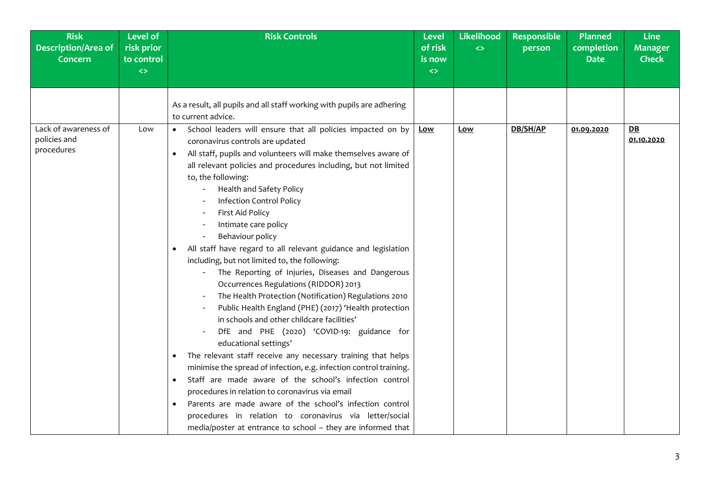| <b>Risk</b><br><b>Description/Area of</b><br><b>Concern</b> | <b>Level of</b><br>risk prior<br>to control<br>$\leftrightarrow$ | <b>Risk Controls</b>                                                                                                                                                                                                                                                                                                                                                                                                                                                                                                                                                                                                                                                                                                                                                                                                                                                                                                                                                                                                                                                                                                                                                                                                                                                                                                                           | <b>Level</b><br>of risk<br>is now<br>$\Leftrightarrow$ | <b>Likelihood</b><br>$\Leftrightarrow$ | <b>Responsible</b><br>person | <b>Planned</b><br>completion<br><b>Date</b> | <b>Line</b><br><b>Manager</b><br><b>Check</b> |
|-------------------------------------------------------------|------------------------------------------------------------------|------------------------------------------------------------------------------------------------------------------------------------------------------------------------------------------------------------------------------------------------------------------------------------------------------------------------------------------------------------------------------------------------------------------------------------------------------------------------------------------------------------------------------------------------------------------------------------------------------------------------------------------------------------------------------------------------------------------------------------------------------------------------------------------------------------------------------------------------------------------------------------------------------------------------------------------------------------------------------------------------------------------------------------------------------------------------------------------------------------------------------------------------------------------------------------------------------------------------------------------------------------------------------------------------------------------------------------------------|--------------------------------------------------------|----------------------------------------|------------------------------|---------------------------------------------|-----------------------------------------------|
|                                                             |                                                                  | As a result, all pupils and all staff working with pupils are adhering<br>to current advice.                                                                                                                                                                                                                                                                                                                                                                                                                                                                                                                                                                                                                                                                                                                                                                                                                                                                                                                                                                                                                                                                                                                                                                                                                                                   |                                                        |                                        |                              |                                             |                                               |
| Lack of awareness of<br>policies and<br>procedures          | Low                                                              | School leaders will ensure that all policies impacted on by<br>$\bullet$<br>coronavirus controls are updated<br>All staff, pupils and volunteers will make themselves aware of<br>$\bullet$<br>all relevant policies and procedures including, but not limited<br>to, the following:<br>Health and Safety Policy<br><b>Infection Control Policy</b><br>First Aid Policy<br>Intimate care policy<br>Behaviour policy<br>All staff have regard to all relevant guidance and legislation<br>including, but not limited to, the following:<br>The Reporting of Injuries, Diseases and Dangerous<br>Occurrences Regulations (RIDDOR) 2013<br>The Health Protection (Notification) Regulations 2010<br>Public Health England (PHE) (2017) 'Health protection<br>in schools and other childcare facilities'<br>DfE and PHE (2020) 'COVID-19: guidance for<br>educational settings'<br>The relevant staff receive any necessary training that helps<br>minimise the spread of infection, e.g. infection control training.<br>Staff are made aware of the school's infection control<br>$\bullet$<br>procedures in relation to coronavirus via email<br>Parents are made aware of the school's infection control<br>$\bullet$<br>procedures in relation to coronavirus via letter/social<br>media/poster at entrance to school - they are informed that | <u>Low</u>                                             | Low                                    | DB/SH/AP                     | 01.09.2020                                  | DE<br>01.10.2020                              |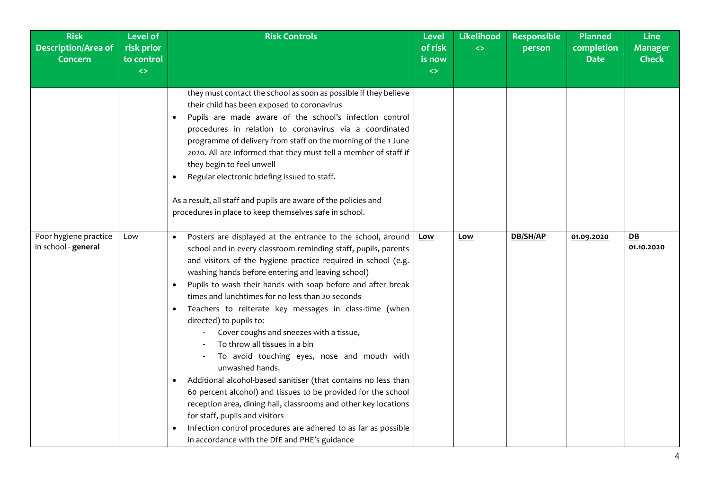| <b>Risk</b><br><b>Description/Area of</b><br><b>Concern</b> | <b>Level of</b><br>risk prior<br>to control<br>$\leftrightarrow$ | <b>Risk Controls</b>                                                                                                                                                                                                                                                                                                                                                                                                                                                                                                                                                                                                                                                                                                                                                                                                                                                                                                                                                                                                                  | <b>Level</b><br>of risk<br>is now<br>$\leftrightarrow$ | Likelihood<br>$\leftrightarrow$ | Responsible<br>person | <b>Planned</b><br>completion<br><b>Date</b> | <b>Line</b><br><b>Manager</b><br><b>Check</b> |
|-------------------------------------------------------------|------------------------------------------------------------------|---------------------------------------------------------------------------------------------------------------------------------------------------------------------------------------------------------------------------------------------------------------------------------------------------------------------------------------------------------------------------------------------------------------------------------------------------------------------------------------------------------------------------------------------------------------------------------------------------------------------------------------------------------------------------------------------------------------------------------------------------------------------------------------------------------------------------------------------------------------------------------------------------------------------------------------------------------------------------------------------------------------------------------------|--------------------------------------------------------|---------------------------------|-----------------------|---------------------------------------------|-----------------------------------------------|
|                                                             |                                                                  | they must contact the school as soon as possible if they believe<br>their child has been exposed to coronavirus<br>Pupils are made aware of the school's infection control<br>$\bullet$<br>procedures in relation to coronavirus via a coordinated<br>programme of delivery from staff on the morning of the 1 June<br>2020. All are informed that they must tell a member of staff if<br>they begin to feel unwell<br>Regular electronic briefing issued to staff.<br>$\bullet$<br>As a result, all staff and pupils are aware of the policies and<br>procedures in place to keep themselves safe in school.                                                                                                                                                                                                                                                                                                                                                                                                                         |                                                        |                                 |                       |                                             |                                               |
| Poor hygiene practice<br>in school - general                | Low                                                              | Posters are displayed at the entrance to the school, around<br>$\bullet$<br>school and in every classroom reminding staff, pupils, parents<br>and visitors of the hygiene practice required in school (e.g.<br>washing hands before entering and leaving school)<br>Pupils to wash their hands with soap before and after break<br>$\bullet$<br>times and lunchtimes for no less than 20 seconds<br>Teachers to reiterate key messages in class-time (when<br>$\bullet$<br>directed) to pupils to:<br>Cover coughs and sneezes with a tissue,<br>To throw all tissues in a bin<br>To avoid touching eyes, nose and mouth with<br>unwashed hands.<br>Additional alcohol-based sanitiser (that contains no less than<br>$\bullet$<br>60 percent alcohol) and tissues to be provided for the school<br>reception area, dining hall, classrooms and other key locations<br>for staff, pupils and visitors<br>Infection control procedures are adhered to as far as possible<br>$\bullet$<br>in accordance with the DfE and PHE's guidance | Low                                                    | Low                             | DB/SH/AP              | 01.09.2020                                  | DB<br>01.10.2020                              |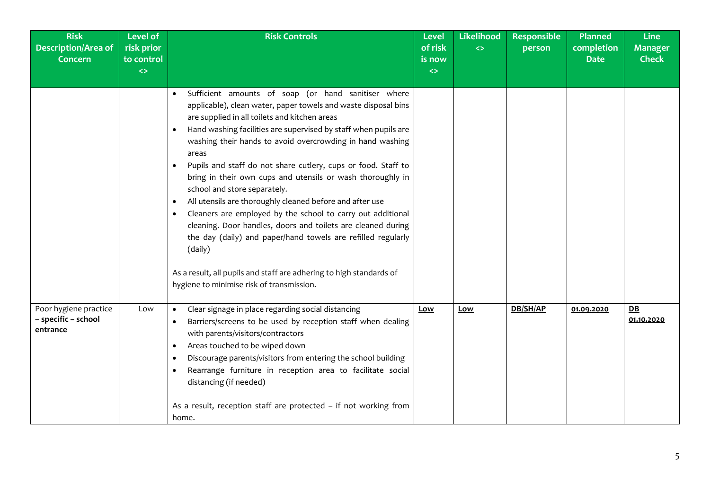| <b>Risk</b><br><b>Description/Area of</b><br><b>Concern</b> | <b>Level of</b><br>risk prior<br>to control | <b>Risk Controls</b>                                                                                                                                                                                                                                                                                                                                                                                                                                                                                                                                                                                                                                                                                                                                                                                                                                                                               | <b>Level</b><br>of risk<br>is now | Likelihood<br>$\leftrightarrow$ | <b>Responsible</b><br>person | <b>Planned</b><br>completion<br><b>Date</b> | <b>Line</b><br><b>Manager</b><br><b>Check</b> |
|-------------------------------------------------------------|---------------------------------------------|----------------------------------------------------------------------------------------------------------------------------------------------------------------------------------------------------------------------------------------------------------------------------------------------------------------------------------------------------------------------------------------------------------------------------------------------------------------------------------------------------------------------------------------------------------------------------------------------------------------------------------------------------------------------------------------------------------------------------------------------------------------------------------------------------------------------------------------------------------------------------------------------------|-----------------------------------|---------------------------------|------------------------------|---------------------------------------------|-----------------------------------------------|
|                                                             | $\leftrightarrow$                           |                                                                                                                                                                                                                                                                                                                                                                                                                                                                                                                                                                                                                                                                                                                                                                                                                                                                                                    | $\Leftrightarrow$                 |                                 |                              |                                             |                                               |
|                                                             |                                             | Sufficient amounts of soap (or hand sanitiser where<br>applicable), clean water, paper towels and waste disposal bins<br>are supplied in all toilets and kitchen areas<br>Hand washing facilities are supervised by staff when pupils are<br>washing their hands to avoid overcrowding in hand washing<br>areas<br>Pupils and staff do not share cutlery, cups or food. Staff to<br>bring in their own cups and utensils or wash thoroughly in<br>school and store separately.<br>All utensils are thoroughly cleaned before and after use<br>$\bullet$<br>Cleaners are employed by the school to carry out additional<br>$\bullet$<br>cleaning. Door handles, doors and toilets are cleaned during<br>the day (daily) and paper/hand towels are refilled regularly<br>(daily)<br>As a result, all pupils and staff are adhering to high standards of<br>hygiene to minimise risk of transmission. |                                   |                                 |                              |                                             |                                               |
| Poor hygiene practice<br>- specific - school<br>entrance    | Low                                         | Clear signage in place regarding social distancing<br>Barriers/screens to be used by reception staff when dealing<br>$\bullet$<br>with parents/visitors/contractors<br>Areas touched to be wiped down<br>Discourage parents/visitors from entering the school building<br>$\bullet$<br>Rearrange furniture in reception area to facilitate social<br>distancing (if needed)<br>As a result, reception staff are protected - if not working from<br>home.                                                                                                                                                                                                                                                                                                                                                                                                                                           | Low                               | Low                             | DB/SH/AP                     | 01.09.2020                                  | DB<br>01.10.2020                              |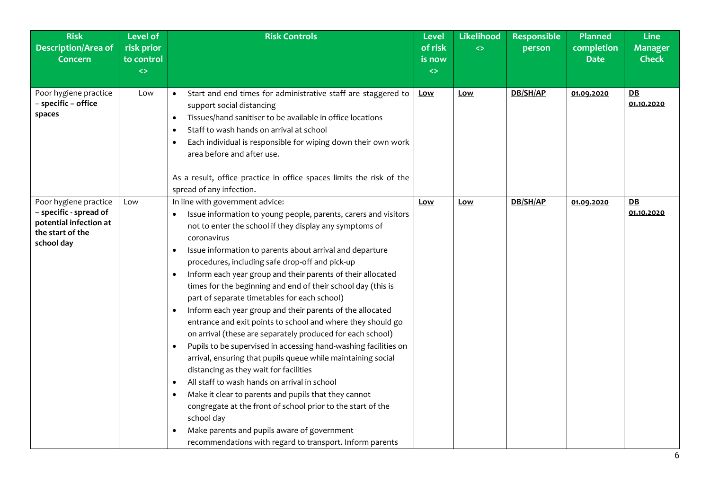| <b>Risk</b><br>Description/Area of<br><b>Concern</b>                                                        | <b>Level of</b><br>risk prior<br>to control<br>$\leftrightarrow$ | <b>Risk Controls</b>                                                                                                                                                                                                                                                                                                                                                                                                                                                                                                                                                                                                                                                                                                                                                                                                                                                                                                                                                                                                                                                                                                                                                                                                            | Level<br>of risk<br>is now<br>$\leftrightarrow$ | Likelihood<br>$\leftrightarrow$ | <b>Responsible</b><br>person | <b>Planned</b><br>completion<br><b>Date</b> | <b>Line</b><br><b>Manager</b><br><b>Check</b> |
|-------------------------------------------------------------------------------------------------------------|------------------------------------------------------------------|---------------------------------------------------------------------------------------------------------------------------------------------------------------------------------------------------------------------------------------------------------------------------------------------------------------------------------------------------------------------------------------------------------------------------------------------------------------------------------------------------------------------------------------------------------------------------------------------------------------------------------------------------------------------------------------------------------------------------------------------------------------------------------------------------------------------------------------------------------------------------------------------------------------------------------------------------------------------------------------------------------------------------------------------------------------------------------------------------------------------------------------------------------------------------------------------------------------------------------|-------------------------------------------------|---------------------------------|------------------------------|---------------------------------------------|-----------------------------------------------|
| Poor hygiene practice<br>- specific - office<br>spaces                                                      | Low                                                              | Start and end times for administrative staff are staggered to<br>$\bullet$<br>support social distancing<br>Tissues/hand sanitiser to be available in office locations<br>$\bullet$<br>Staff to wash hands on arrival at school<br>$\bullet$<br>Each individual is responsible for wiping down their own work<br>$\bullet$<br>area before and after use.<br>As a result, office practice in office spaces limits the risk of the<br>spread of any infection.                                                                                                                                                                                                                                                                                                                                                                                                                                                                                                                                                                                                                                                                                                                                                                     | <u>Low</u>                                      | <b>Low</b>                      | DB/SH/AP                     | 01.09.2020                                  | $D$ $B$<br>01.10.2020                         |
| Poor hygiene practice<br>- specific - spread of<br>potential infection at<br>the start of the<br>school day | Low                                                              | In line with government advice:<br>Issue information to young people, parents, carers and visitors<br>not to enter the school if they display any symptoms of<br>coronavirus<br>Issue information to parents about arrival and departure<br>$\bullet$<br>procedures, including safe drop-off and pick-up<br>Inform each year group and their parents of their allocated<br>$\bullet$<br>times for the beginning and end of their school day (this is<br>part of separate timetables for each school)<br>Inform each year group and their parents of the allocated<br>entrance and exit points to school and where they should go<br>on arrival (these are separately produced for each school)<br>Pupils to be supervised in accessing hand-washing facilities on<br>$\bullet$<br>arrival, ensuring that pupils queue while maintaining social<br>distancing as they wait for facilities<br>All staff to wash hands on arrival in school<br>$\bullet$<br>Make it clear to parents and pupils that they cannot<br>$\bullet$<br>congregate at the front of school prior to the start of the<br>school day<br>Make parents and pupils aware of government<br>$\bullet$<br>recommendations with regard to transport. Inform parents | Low                                             | Low                             | DB/SH/AP                     | 01.09.2020                                  | DE<br>01.10.2020                              |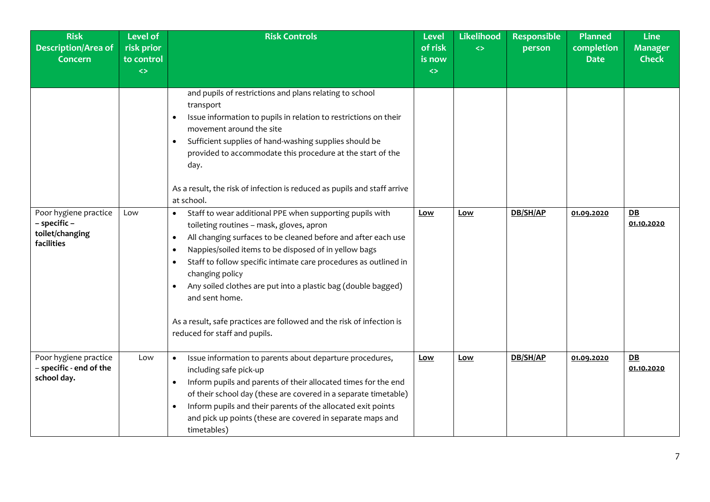| <b>Risk</b><br><b>Description/Area of</b><br><b>Concern</b>            | <b>Level of</b><br>risk prior<br>to control<br>$\leftrightarrow$ | <b>Risk Controls</b>                                                                                                                                                                                                                                                                                                                                                                                                                                                                                                                                                                                                                                                                                                                                                                                                                                                                                                                                                                                            | <b>Level</b><br>of risk<br>is now<br>$\leftrightarrow$ | Likelihood<br>$\leftrightarrow$ | <b>Responsible</b><br>person | <b>Planned</b><br>completion<br><b>Date</b> | <b>Line</b><br><b>Manager</b><br><b>Check</b> |
|------------------------------------------------------------------------|------------------------------------------------------------------|-----------------------------------------------------------------------------------------------------------------------------------------------------------------------------------------------------------------------------------------------------------------------------------------------------------------------------------------------------------------------------------------------------------------------------------------------------------------------------------------------------------------------------------------------------------------------------------------------------------------------------------------------------------------------------------------------------------------------------------------------------------------------------------------------------------------------------------------------------------------------------------------------------------------------------------------------------------------------------------------------------------------|--------------------------------------------------------|---------------------------------|------------------------------|---------------------------------------------|-----------------------------------------------|
| Poor hygiene practice<br>- specific -<br>toilet/changing<br>facilities | Low                                                              | and pupils of restrictions and plans relating to school<br>transport<br>Issue information to pupils in relation to restrictions on their<br>$\bullet$<br>movement around the site<br>Sufficient supplies of hand-washing supplies should be<br>$\bullet$<br>provided to accommodate this procedure at the start of the<br>day.<br>As a result, the risk of infection is reduced as pupils and staff arrive<br>at school.<br>Staff to wear additional PPE when supporting pupils with<br>$\bullet$<br>toileting routines - mask, gloves, apron<br>All changing surfaces to be cleaned before and after each use<br>$\bullet$<br>Nappies/soiled items to be disposed of in yellow bags<br>$\bullet$<br>Staff to follow specific intimate care procedures as outlined in<br>$\bullet$<br>changing policy<br>Any soiled clothes are put into a plastic bag (double bagged)<br>$\bullet$<br>and sent home.<br>As a result, safe practices are followed and the risk of infection is<br>reduced for staff and pupils. | <u>Low</u>                                             | Low                             | DB/SH/AP                     | 01.09.2020                                  | DB<br>01.10.2020                              |
| Poor hygiene practice<br>- specific - end of the<br>school day.        | Low                                                              | Issue information to parents about departure procedures,<br>$\bullet$<br>including safe pick-up<br>Inform pupils and parents of their allocated times for the end<br>$\bullet$<br>of their school day (these are covered in a separate timetable)<br>Inform pupils and their parents of the allocated exit points<br>$\bullet$<br>and pick up points (these are covered in separate maps and<br>timetables)                                                                                                                                                                                                                                                                                                                                                                                                                                                                                                                                                                                                     | Low                                                    | Low                             | DB/SH/AP                     | 01.09.2020                                  | DE<br>01.10.2020                              |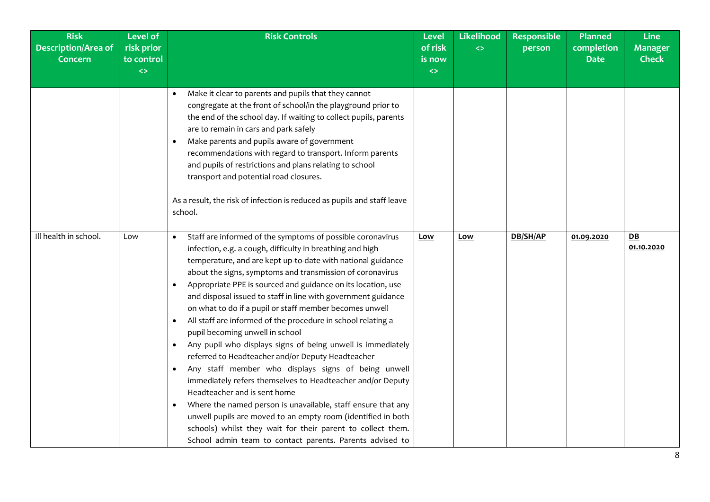| <b>Risk</b><br><b>Description/Area of</b><br><b>Concern</b> | <b>Level of</b><br>risk prior<br>to control | <b>Risk Controls</b>                                                                                                                                                                                                                                                                                                                                                                                                                                                                                                                                                                                                                                                                                                                                                                                                                                                                                                                                                                                                                                                                                                                                                 | <b>Level</b><br>of risk<br>is now | Likelihood<br>$\leftrightarrow$ | <b>Responsible</b><br>person | Planned<br>completion<br><b>Date</b> | <b>Line</b><br><b>Manager</b><br><b>Check</b> |
|-------------------------------------------------------------|---------------------------------------------|----------------------------------------------------------------------------------------------------------------------------------------------------------------------------------------------------------------------------------------------------------------------------------------------------------------------------------------------------------------------------------------------------------------------------------------------------------------------------------------------------------------------------------------------------------------------------------------------------------------------------------------------------------------------------------------------------------------------------------------------------------------------------------------------------------------------------------------------------------------------------------------------------------------------------------------------------------------------------------------------------------------------------------------------------------------------------------------------------------------------------------------------------------------------|-----------------------------------|---------------------------------|------------------------------|--------------------------------------|-----------------------------------------------|
|                                                             | $\leftrightarrow$                           | Make it clear to parents and pupils that they cannot<br>$\bullet$<br>congregate at the front of school/in the playground prior to<br>the end of the school day. If waiting to collect pupils, parents<br>are to remain in cars and park safely<br>Make parents and pupils aware of government<br>$\bullet$<br>recommendations with regard to transport. Inform parents<br>and pupils of restrictions and plans relating to school<br>transport and potential road closures.<br>As a result, the risk of infection is reduced as pupils and staff leave<br>school.                                                                                                                                                                                                                                                                                                                                                                                                                                                                                                                                                                                                    | $\leftrightarrow$                 |                                 |                              |                                      |                                               |
| Ill health in school.                                       | Low                                         | Staff are informed of the symptoms of possible coronavirus<br>$\bullet$<br>infection, e.g. a cough, difficulty in breathing and high<br>temperature, and are kept up-to-date with national guidance<br>about the signs, symptoms and transmission of coronavirus<br>Appropriate PPE is sourced and guidance on its location, use<br>$\bullet$<br>and disposal issued to staff in line with government guidance<br>on what to do if a pupil or staff member becomes unwell<br>All staff are informed of the procedure in school relating a<br>$\bullet$<br>pupil becoming unwell in school<br>Any pupil who displays signs of being unwell is immediately<br>$\bullet$<br>referred to Headteacher and/or Deputy Headteacher<br>Any staff member who displays signs of being unwell<br>$\bullet$<br>immediately refers themselves to Headteacher and/or Deputy<br>Headteacher and is sent home<br>Where the named person is unavailable, staff ensure that any<br>$\bullet$<br>unwell pupils are moved to an empty room (identified in both<br>schools) whilst they wait for their parent to collect them.<br>School admin team to contact parents. Parents advised to | Low                               | <u>Low</u>                      | DB/SH/AP                     | 01.09.2020                           | DB<br>01.10.2020                              |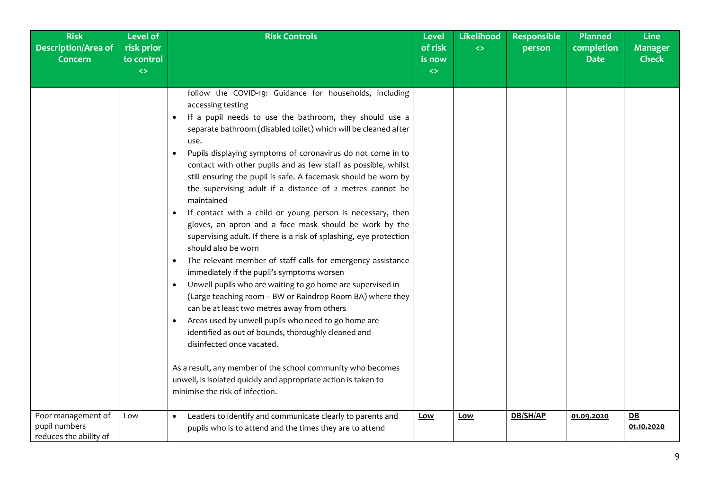| <b>Risk</b><br><b>Description/Area of</b><br><b>Concern</b>   | <b>Level of</b><br>risk prior<br>to control<br>$\leftrightarrow$ | <b>Risk Controls</b>                                                                                                                                                                                                                                                                                                                                                                                                                                                                                                                                                                                                                                                                                                                                                                                                                                                                                                                                                                                                                                                                                                                                                                                                                                                                                                                                                                                      | <b>Level</b><br>of risk<br>is now<br>$\leftrightarrow$ | Likelihood<br>$\leftrightarrow$ | <b>Responsible</b><br>person | <b>Planned</b><br>completion<br><b>Date</b> | <b>Line</b><br><b>Manager</b><br><b>Check</b> |
|---------------------------------------------------------------|------------------------------------------------------------------|-----------------------------------------------------------------------------------------------------------------------------------------------------------------------------------------------------------------------------------------------------------------------------------------------------------------------------------------------------------------------------------------------------------------------------------------------------------------------------------------------------------------------------------------------------------------------------------------------------------------------------------------------------------------------------------------------------------------------------------------------------------------------------------------------------------------------------------------------------------------------------------------------------------------------------------------------------------------------------------------------------------------------------------------------------------------------------------------------------------------------------------------------------------------------------------------------------------------------------------------------------------------------------------------------------------------------------------------------------------------------------------------------------------|--------------------------------------------------------|---------------------------------|------------------------------|---------------------------------------------|-----------------------------------------------|
|                                                               |                                                                  | follow the COVID-19: Guidance for households, including<br>accessing testing<br>If a pupil needs to use the bathroom, they should use a<br>$\bullet$<br>separate bathroom (disabled toilet) which will be cleaned after<br>use.<br>Pupils displaying symptoms of coronavirus do not come in to<br>$\bullet$<br>contact with other pupils and as few staff as possible, whilst<br>still ensuring the pupil is safe. A facemask should be worn by<br>the supervising adult if a distance of 2 metres cannot be<br>maintained<br>If contact with a child or young person is necessary, then<br>$\bullet$<br>gloves, an apron and a face mask should be work by the<br>supervising adult. If there is a risk of splashing, eye protection<br>should also be worn<br>The relevant member of staff calls for emergency assistance<br>$\bullet$<br>immediately if the pupil's symptoms worsen<br>Unwell pupils who are waiting to go home are supervised in<br>$\bullet$<br>(Large teaching room - BW or Raindrop Room BA) where they<br>can be at least two metres away from others<br>Areas used by unwell pupils who need to go home are<br>$\bullet$<br>identified as out of bounds, thoroughly cleaned and<br>disinfected once vacated.<br>As a result, any member of the school community who becomes<br>unwell, is isolated quickly and appropriate action is taken to<br>minimise the risk of infection. |                                                        |                                 |                              |                                             |                                               |
| Poor management of<br>pupil numbers<br>reduces the ability of | Low                                                              | Leaders to identify and communicate clearly to parents and<br>$\bullet$<br>pupils who is to attend and the times they are to attend                                                                                                                                                                                                                                                                                                                                                                                                                                                                                                                                                                                                                                                                                                                                                                                                                                                                                                                                                                                                                                                                                                                                                                                                                                                                       | Low                                                    | Low                             | DB/SH/AP                     | 01.09.2020                                  | DB<br>01.10.2020                              |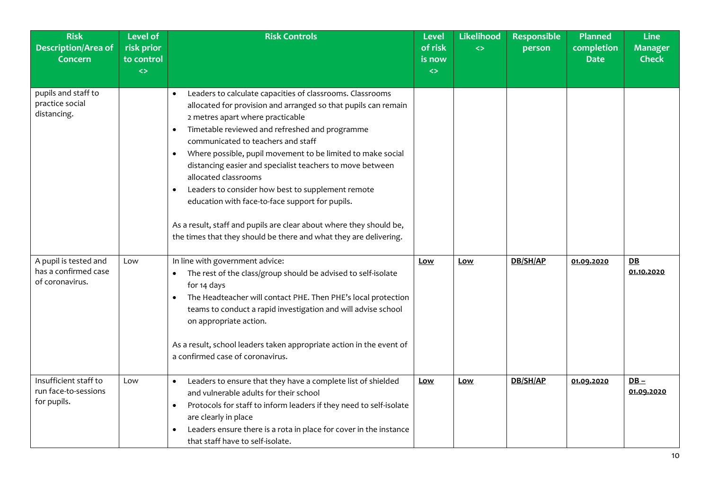| <b>Risk</b><br><b>Description/Area of</b><br><b>Concern</b>      | <b>Level of</b><br>risk prior<br>to control<br>$\leftrightarrow$ | <b>Risk Controls</b>                                                                                                                                                                                                                                                                                                                                                                                                                                                                                                                                                                                                                                                                                                | Level<br>of risk<br>is now<br>$\leftrightarrow$ | Likelihood<br>$\leftrightarrow$ | <b>Responsible</b><br>person | <b>Planned</b><br>completion<br><b>Date</b> | <b>Line</b><br><b>Manager</b><br><b>Check</b> |
|------------------------------------------------------------------|------------------------------------------------------------------|---------------------------------------------------------------------------------------------------------------------------------------------------------------------------------------------------------------------------------------------------------------------------------------------------------------------------------------------------------------------------------------------------------------------------------------------------------------------------------------------------------------------------------------------------------------------------------------------------------------------------------------------------------------------------------------------------------------------|-------------------------------------------------|---------------------------------|------------------------------|---------------------------------------------|-----------------------------------------------|
| pupils and staff to<br>practice social<br>distancing.            |                                                                  | Leaders to calculate capacities of classrooms. Classrooms<br>$\bullet$<br>allocated for provision and arranged so that pupils can remain<br>2 metres apart where practicable<br>Timetable reviewed and refreshed and programme<br>$\bullet$<br>communicated to teachers and staff<br>Where possible, pupil movement to be limited to make social<br>$\bullet$<br>distancing easier and specialist teachers to move between<br>allocated classrooms<br>Leaders to consider how best to supplement remote<br>$\bullet$<br>education with face-to-face support for pupils.<br>As a result, staff and pupils are clear about where they should be,<br>the times that they should be there and what they are delivering. |                                                 |                                 |                              |                                             |                                               |
| A pupil is tested and<br>has a confirmed case<br>of coronavirus. | Low                                                              | In line with government advice:<br>The rest of the class/group should be advised to self-isolate<br>$\bullet$<br>for 14 days<br>The Headteacher will contact PHE. Then PHE's local protection<br>teams to conduct a rapid investigation and will advise school<br>on appropriate action.<br>As a result, school leaders taken appropriate action in the event of<br>a confirmed case of coronavirus.                                                                                                                                                                                                                                                                                                                | Low                                             | Low                             | DB/SH/AP                     | 01.09.2020                                  | DB<br>01.10.2020                              |
| Insufficient staff to<br>run face-to-sessions<br>for pupils.     | Low                                                              | Leaders to ensure that they have a complete list of shielded<br>$\bullet$<br>and vulnerable adults for their school<br>Protocols for staff to inform leaders if they need to self-isolate<br>$\bullet$<br>are clearly in place<br>Leaders ensure there is a rota in place for cover in the instance<br>$\bullet$<br>that staff have to self-isolate.                                                                                                                                                                                                                                                                                                                                                                | Low                                             | Low                             | DB/SH/AP                     | 01.09.2020                                  | $DB -$<br>01.09.2020                          |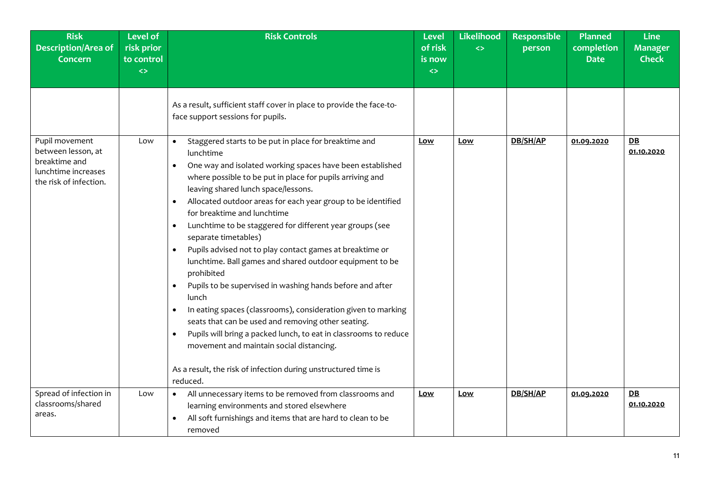| <b>Risk</b><br><b>Description/Area of</b><br><b>Concern</b>                                            | <b>Level of</b><br>risk prior<br>to control<br>$\leftrightarrow$ | <b>Risk Controls</b>                                                                                                                                                                                                                                                                                                                                                                                                                                                                                                                                                                                                                                                                                                                                                                                                                                                                                                                                                                                                                                            | <b>Level</b><br>of risk<br>is now<br>$\leftrightarrow$ | <b>Likelihood</b><br>$\leftrightarrow$ | <b>Responsible</b><br>person | <b>Planned</b><br>completion<br><b>Date</b> | <b>Line</b><br><b>Manager</b><br><b>Check</b> |
|--------------------------------------------------------------------------------------------------------|------------------------------------------------------------------|-----------------------------------------------------------------------------------------------------------------------------------------------------------------------------------------------------------------------------------------------------------------------------------------------------------------------------------------------------------------------------------------------------------------------------------------------------------------------------------------------------------------------------------------------------------------------------------------------------------------------------------------------------------------------------------------------------------------------------------------------------------------------------------------------------------------------------------------------------------------------------------------------------------------------------------------------------------------------------------------------------------------------------------------------------------------|--------------------------------------------------------|----------------------------------------|------------------------------|---------------------------------------------|-----------------------------------------------|
|                                                                                                        |                                                                  | As a result, sufficient staff cover in place to provide the face-to-<br>face support sessions for pupils.                                                                                                                                                                                                                                                                                                                                                                                                                                                                                                                                                                                                                                                                                                                                                                                                                                                                                                                                                       |                                                        |                                        |                              |                                             |                                               |
| Pupil movement<br>between lesson, at<br>breaktime and<br>lunchtime increases<br>the risk of infection. | Low                                                              | Staggered starts to be put in place for breaktime and<br>$\bullet$<br>lunchtime<br>One way and isolated working spaces have been established<br>$\bullet$<br>where possible to be put in place for pupils arriving and<br>leaving shared lunch space/lessons.<br>Allocated outdoor areas for each year group to be identified<br>$\bullet$<br>for breaktime and lunchtime<br>Lunchtime to be staggered for different year groups (see<br>$\bullet$<br>separate timetables)<br>Pupils advised not to play contact games at breaktime or<br>$\bullet$<br>lunchtime. Ball games and shared outdoor equipment to be<br>prohibited<br>Pupils to be supervised in washing hands before and after<br>$\bullet$<br>lunch<br>In eating spaces (classrooms), consideration given to marking<br>$\bullet$<br>seats that can be used and removing other seating.<br>Pupils will bring a packed lunch, to eat in classrooms to reduce<br>$\bullet$<br>movement and maintain social distancing.<br>As a result, the risk of infection during unstructured time is<br>reduced. | <u>Low</u>                                             | Low                                    | DB/SH/AP                     | 01.09.2020                                  | $D$ $B$<br>01.10.2020                         |
| Spread of infection in<br>classrooms/shared<br>areas.                                                  | Low                                                              | All unnecessary items to be removed from classrooms and<br>$\bullet$<br>learning environments and stored elsewhere<br>All soft furnishings and items that are hard to clean to be<br>$\bullet$<br>removed                                                                                                                                                                                                                                                                                                                                                                                                                                                                                                                                                                                                                                                                                                                                                                                                                                                       | <u>Low</u>                                             | Low                                    | DB/SH/AP                     | 01.09.2020                                  | $D$ $B$<br>01.10.2020                         |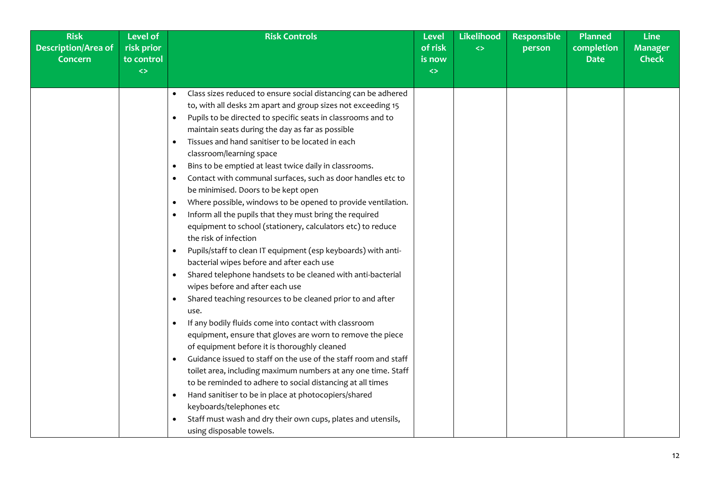| <b>Risk</b>                | <b>Level of</b>   | <b>Risk Controls</b>                                                       | <b>Level</b>      | Likelihood        | <b>Responsible</b> | <b>Planned</b> | <b>Line</b>    |
|----------------------------|-------------------|----------------------------------------------------------------------------|-------------------|-------------------|--------------------|----------------|----------------|
| <b>Description/Area of</b> | risk prior        |                                                                            | of risk           | $\leftrightarrow$ | person             | completion     | <b>Manager</b> |
| <b>Concern</b>             | to control        |                                                                            | is now            |                   |                    | <b>Date</b>    | <b>Check</b>   |
|                            | $\Leftrightarrow$ |                                                                            | $\leftrightarrow$ |                   |                    |                |                |
|                            |                   | Class sizes reduced to ensure social distancing can be adhered             |                   |                   |                    |                |                |
|                            |                   | to, with all desks 2m apart and group sizes not exceeding 15               |                   |                   |                    |                |                |
|                            |                   | Pupils to be directed to specific seats in classrooms and to               |                   |                   |                    |                |                |
|                            |                   | maintain seats during the day as far as possible                           |                   |                   |                    |                |                |
|                            |                   | Tissues and hand sanitiser to be located in each<br>$\bullet$              |                   |                   |                    |                |                |
|                            |                   | classroom/learning space                                                   |                   |                   |                    |                |                |
|                            |                   | Bins to be emptied at least twice daily in classrooms.<br>- 0              |                   |                   |                    |                |                |
|                            |                   | Contact with communal surfaces, such as door handles etc to<br>- 0         |                   |                   |                    |                |                |
|                            |                   | be minimised. Doors to be kept open                                        |                   |                   |                    |                |                |
|                            |                   | Where possible, windows to be opened to provide ventilation.<br>$\bullet$  |                   |                   |                    |                |                |
|                            |                   | Inform all the pupils that they must bring the required<br>$\bullet$       |                   |                   |                    |                |                |
|                            |                   | equipment to school (stationery, calculators etc) to reduce                |                   |                   |                    |                |                |
|                            |                   | the risk of infection                                                      |                   |                   |                    |                |                |
|                            |                   | Pupils/staff to clean IT equipment (esp keyboards) with anti-<br>$\bullet$ |                   |                   |                    |                |                |
|                            |                   | bacterial wipes before and after each use                                  |                   |                   |                    |                |                |
|                            |                   | Shared telephone handsets to be cleaned with anti-bacterial<br>$\bullet$   |                   |                   |                    |                |                |
|                            |                   | wipes before and after each use                                            |                   |                   |                    |                |                |
|                            |                   | Shared teaching resources to be cleaned prior to and after<br>$\bullet$    |                   |                   |                    |                |                |
|                            |                   | use.                                                                       |                   |                   |                    |                |                |
|                            |                   | If any bodily fluids come into contact with classroom                      |                   |                   |                    |                |                |
|                            |                   | equipment, ensure that gloves are worn to remove the piece                 |                   |                   |                    |                |                |
|                            |                   | of equipment before it is thoroughly cleaned                               |                   |                   |                    |                |                |
|                            |                   | Guidance issued to staff on the use of the staff room and staff            |                   |                   |                    |                |                |
|                            |                   | toilet area, including maximum numbers at any one time. Staff              |                   |                   |                    |                |                |
|                            |                   | to be reminded to adhere to social distancing at all times                 |                   |                   |                    |                |                |
|                            |                   | Hand sanitiser to be in place at photocopiers/shared<br>$\bullet$          |                   |                   |                    |                |                |
|                            |                   | keyboards/telephones etc                                                   |                   |                   |                    |                |                |
|                            |                   | Staff must wash and dry their own cups, plates and utensils,               |                   |                   |                    |                |                |
|                            |                   | using disposable towels.                                                   |                   |                   |                    |                |                |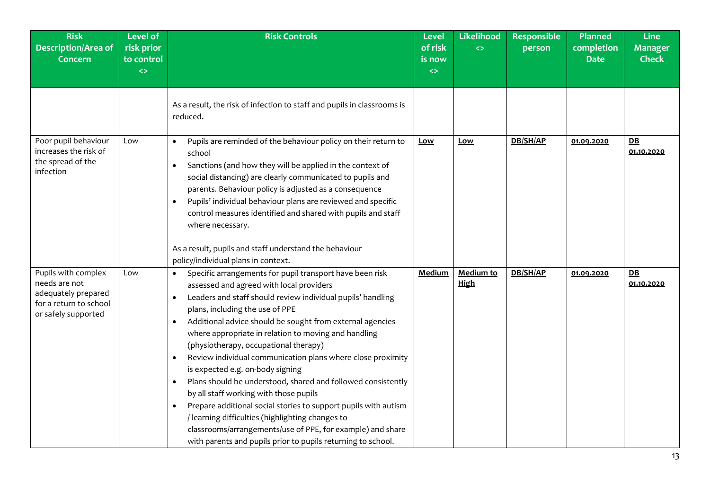| <b>Risk</b><br><b>Description/Area of</b><br><b>Concern</b>                                                  | <b>Level of</b><br>risk prior<br>to control<br>$\leftrightarrow$ | <b>Risk Controls</b>                                                                                                                                                                                                                                                                                                                                                                                                                                                                                                                                                                                                                                                                                                                                                                                                                                                                                                 | <b>Level</b><br>of risk<br>is now<br>$\leftrightarrow$ | Likelihood<br>$\leftrightarrow$ | Responsible<br>person | Planned<br>completion<br><b>Date</b> | <b>Line</b><br><b>Manager</b><br><b>Check</b> |
|--------------------------------------------------------------------------------------------------------------|------------------------------------------------------------------|----------------------------------------------------------------------------------------------------------------------------------------------------------------------------------------------------------------------------------------------------------------------------------------------------------------------------------------------------------------------------------------------------------------------------------------------------------------------------------------------------------------------------------------------------------------------------------------------------------------------------------------------------------------------------------------------------------------------------------------------------------------------------------------------------------------------------------------------------------------------------------------------------------------------|--------------------------------------------------------|---------------------------------|-----------------------|--------------------------------------|-----------------------------------------------|
|                                                                                                              |                                                                  | As a result, the risk of infection to staff and pupils in classrooms is<br>reduced.                                                                                                                                                                                                                                                                                                                                                                                                                                                                                                                                                                                                                                                                                                                                                                                                                                  |                                                        |                                 |                       |                                      |                                               |
| Poor pupil behaviour<br>increases the risk of<br>the spread of the<br>infection                              | Low                                                              | Pupils are reminded of the behaviour policy on their return to<br>$\bullet$<br>school<br>Sanctions (and how they will be applied in the context of<br>$\bullet$<br>social distancing) are clearly communicated to pupils and<br>parents. Behaviour policy is adjusted as a consequence<br>Pupils' individual behaviour plans are reviewed and specific<br>$\bullet$<br>control measures identified and shared with pupils and staff<br>where necessary.<br>As a result, pupils and staff understand the behaviour<br>policy/individual plans in context.                                                                                                                                                                                                                                                                                                                                                             | Low                                                    | <u>Low</u>                      | DB/SH/AP              | 01.09.2020                           | DB<br>01.10.2020                              |
| Pupils with complex<br>needs are not<br>adequately prepared<br>for a return to school<br>or safely supported | Low                                                              | Specific arrangements for pupil transport have been risk<br>$\bullet$<br>assessed and agreed with local providers<br>Leaders and staff should review individual pupils' handling<br>$\bullet$<br>plans, including the use of PPE<br>Additional advice should be sought from external agencies<br>$\bullet$<br>where appropriate in relation to moving and handling<br>(physiotherapy, occupational therapy)<br>Review individual communication plans where close proximity<br>$\bullet$<br>is expected e.g. on-body signing<br>Plans should be understood, shared and followed consistently<br>$\bullet$<br>by all staff working with those pupils<br>Prepare additional social stories to support pupils with autism<br>$\bullet$<br>/ learning difficulties (highlighting changes to<br>classrooms/arrangements/use of PPE, for example) and share<br>with parents and pupils prior to pupils returning to school. | <b>Medium</b>                                          | Medium to<br><b>High</b>        | DB/SH/AP              | 01.09.2020                           | DB<br>01.10.2020                              |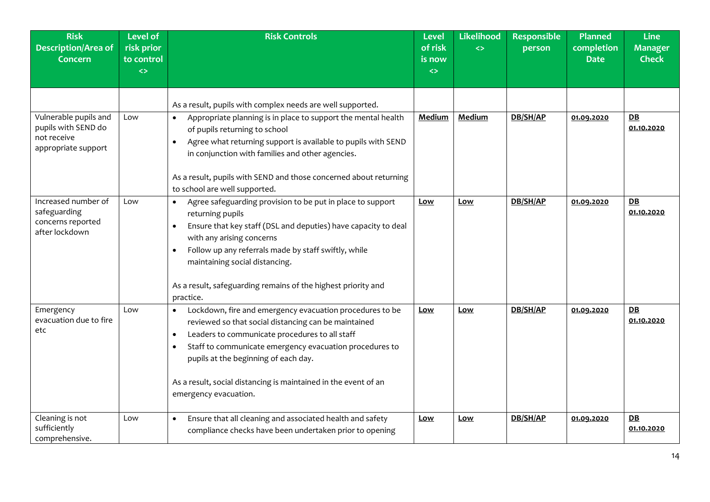| <b>Risk</b><br><b>Description/Area of</b><br><b>Concern</b>                        | <b>Level of</b><br>risk prior<br>to control<br>$\leftrightarrow$ | <b>Risk Controls</b>                                                                                                                                                                                                                                                                                                                                                                                     | <b>Level</b><br>of risk<br>is now<br>$\leftrightarrow$ | Likelihood<br>$\leftrightarrow$ | <b>Responsible</b><br>person | Planned<br>completion<br><b>Date</b> | <b>Line</b><br><b>Manager</b><br><b>Check</b> |
|------------------------------------------------------------------------------------|------------------------------------------------------------------|----------------------------------------------------------------------------------------------------------------------------------------------------------------------------------------------------------------------------------------------------------------------------------------------------------------------------------------------------------------------------------------------------------|--------------------------------------------------------|---------------------------------|------------------------------|--------------------------------------|-----------------------------------------------|
|                                                                                    |                                                                  | As a result, pupils with complex needs are well supported.                                                                                                                                                                                                                                                                                                                                               |                                                        |                                 |                              |                                      |                                               |
| Vulnerable pupils and<br>pupils with SEND do<br>not receive<br>appropriate support | Low                                                              | Appropriate planning is in place to support the mental health<br>$\bullet$<br>of pupils returning to school<br>Agree what returning support is available to pupils with SEND<br>$\bullet$<br>in conjunction with families and other agencies.<br>As a result, pupils with SEND and those concerned about returning<br>to school are well supported.                                                      | Medium                                                 | <b>Medium</b>                   | DB/SH/AP                     | 01.09.2020                           | DE<br>01.10.2020                              |
| Increased number of<br>safeguarding<br>concerns reported<br>after lockdown         | Low                                                              | Agree safeguarding provision to be put in place to support<br>$\bullet$<br>returning pupils<br>Ensure that key staff (DSL and deputies) have capacity to deal<br>$\bullet$<br>with any arising concerns<br>Follow up any referrals made by staff swiftly, while<br>maintaining social distancing.<br>As a result, safeguarding remains of the highest priority and<br>practice.                          | Low                                                    | <u>Low</u>                      | DB/SH/AP                     | 01.09.2020                           | DB<br>01.10.2020                              |
| Emergency<br>evacuation due to fire<br>etc                                         | Low                                                              | Lockdown, fire and emergency evacuation procedures to be<br>$\bullet$<br>reviewed so that social distancing can be maintained<br>Leaders to communicate procedures to all staff<br>$\bullet$<br>Staff to communicate emergency evacuation procedures to<br>$\bullet$<br>pupils at the beginning of each day.<br>As a result, social distancing is maintained in the event of an<br>emergency evacuation. | Low                                                    | Low                             | DB/SH/AP                     | 01.09.2020                           | DB<br>01.10.2020                              |
| Cleaning is not<br>sufficiently<br>comprehensive.                                  | Low                                                              | Ensure that all cleaning and associated health and safety<br>$\bullet$<br>compliance checks have been undertaken prior to opening                                                                                                                                                                                                                                                                        | Low                                                    | <u>Low</u>                      | DB/SH/AP                     | 01.09.2020                           | DE<br>01.10.2020                              |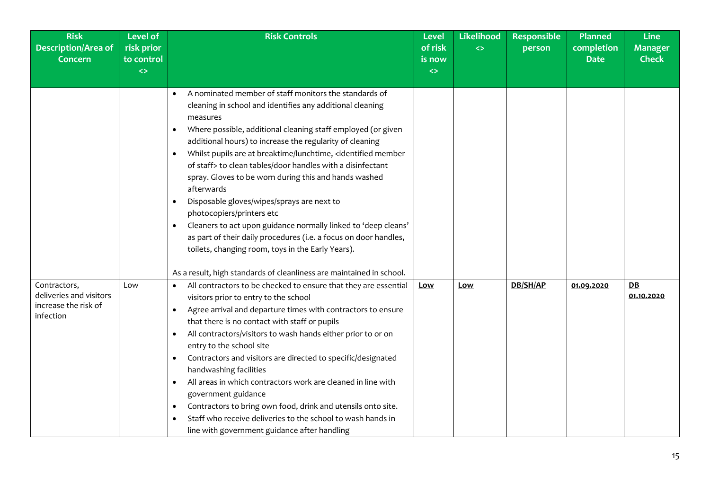| <b>Risk</b><br><b>Description/Area of</b><br><b>Concern</b>                  | <b>Level of</b><br>risk prior<br>to control<br>$\leftrightarrow$ | <b>Risk Controls</b>                                                                                                                                                                                                                                                                                                                                                                                                                                                                                                                                                                                                                                                                                                                                                                                                                                                                                                                     | <b>Level</b><br>of risk<br>is now<br>$\leftrightarrow$ | <b>Likelihood</b><br>$\leftrightarrow$ | <b>Responsible</b><br>person | <b>Planned</b><br>completion<br><b>Date</b> | <b>Line</b><br><b>Manager</b><br><b>Check</b> |
|------------------------------------------------------------------------------|------------------------------------------------------------------|------------------------------------------------------------------------------------------------------------------------------------------------------------------------------------------------------------------------------------------------------------------------------------------------------------------------------------------------------------------------------------------------------------------------------------------------------------------------------------------------------------------------------------------------------------------------------------------------------------------------------------------------------------------------------------------------------------------------------------------------------------------------------------------------------------------------------------------------------------------------------------------------------------------------------------------|--------------------------------------------------------|----------------------------------------|------------------------------|---------------------------------------------|-----------------------------------------------|
|                                                                              |                                                                  | A nominated member of staff monitors the standards of<br>cleaning in school and identifies any additional cleaning<br>measures<br>Where possible, additional cleaning staff employed (or given<br>$\bullet$<br>additional hours) to increase the regularity of cleaning<br>Whilst pupils are at breaktime/lunchtime, <identified member<br=""><math display="inline">\bullet</math><br/>of staff&gt; to clean tables/door handles with a disinfectant<br/>spray. Gloves to be worn during this and hands washed<br/>afterwards<br/>Disposable gloves/wipes/sprays are next to<br/><math display="block">\bullet</math><br/>photocopiers/printers etc<br/>Cleaners to act upon guidance normally linked to 'deep cleans'<br/>as part of their daily procedures (i.e. a focus on door handles,<br/>toilets, changing room, toys in the Early Years).<br/>As a result, high standards of cleanliness are maintained in school.</identified> |                                                        |                                        |                              |                                             |                                               |
| Contractors,<br>deliveries and visitors<br>increase the risk of<br>infection | Low                                                              | All contractors to be checked to ensure that they are essential<br>visitors prior to entry to the school<br>Agree arrival and departure times with contractors to ensure<br>$\bullet$<br>that there is no contact with staff or pupils<br>All contractors/visitors to wash hands either prior to or on<br>٠<br>entry to the school site<br>Contractors and visitors are directed to specific/designated<br>٠<br>handwashing facilities<br>All areas in which contractors work are cleaned in line with<br>$\bullet$<br>government guidance<br>Contractors to bring own food, drink and utensils onto site.<br>٠<br>Staff who receive deliveries to the school to wash hands in<br>line with government guidance after handling                                                                                                                                                                                                           | <b>Low</b>                                             | Low                                    | DB/SH/AP                     | 01.09.2020                                  | $DB$<br>01.10.2020                            |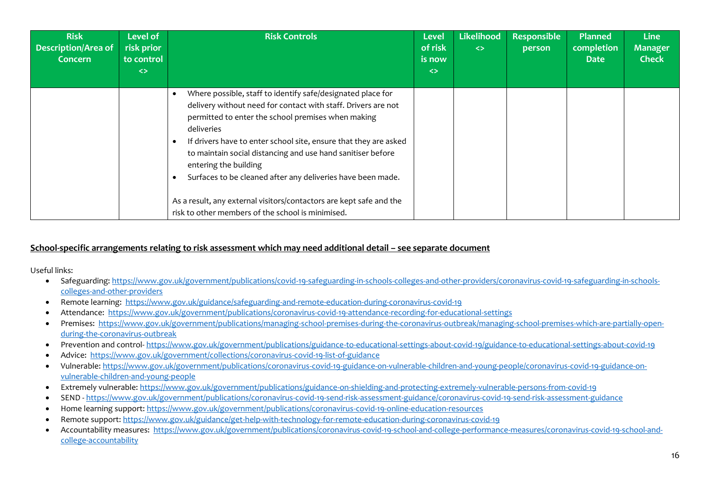| <b>Risk</b><br><b>Description/Area of</b><br><b>Concern</b> | Level of<br>risk prior<br>to control<br>$\leftrightarrow$ | <b>Risk Controls</b>                                                                                                                                                                                                                                                                                                                                                                                                                                                                                                                                    | <b>Level</b><br>of risk<br>is now<br>$\leftrightarrow$ | <b>Likelihood</b><br>$\leftrightarrow$ | <b>Responsible</b><br>person | Planned<br>completion<br><b>Date</b> | <b>Line</b><br><b>Manager</b><br><b>Check</b> |
|-------------------------------------------------------------|-----------------------------------------------------------|---------------------------------------------------------------------------------------------------------------------------------------------------------------------------------------------------------------------------------------------------------------------------------------------------------------------------------------------------------------------------------------------------------------------------------------------------------------------------------------------------------------------------------------------------------|--------------------------------------------------------|----------------------------------------|------------------------------|--------------------------------------|-----------------------------------------------|
|                                                             |                                                           | Where possible, staff to identify safe/designated place for<br>delivery without need for contact with staff. Drivers are not<br>permitted to enter the school premises when making<br>deliveries<br>If drivers have to enter school site, ensure that they are asked<br>to maintain social distancing and use hand sanitiser before<br>entering the building<br>Surfaces to be cleaned after any deliveries have been made.<br>As a result, any external visitors/contactors are kept safe and the<br>risk to other members of the school is minimised. |                                                        |                                        |                              |                                      |                                               |

## **School-specific arrangements relating to risk assessment which may need additional detail – see separate document**

Useful links:

- Safeguarding: [https://www.gov.uk/government/publications/covid-19-safeguarding-in-schools-colleges-and-other-providers/coronavirus-covid-19-safeguarding-in-schools](https://www.gov.uk/government/publications/covid-19-safeguarding-in-schools-colleges-and-other-providers/coronavirus-covid-19-safeguarding-in-schools-colleges-and-other-providers)[colleges-and-other-providers](https://www.gov.uk/government/publications/covid-19-safeguarding-in-schools-colleges-and-other-providers/coronavirus-covid-19-safeguarding-in-schools-colleges-and-other-providers)
- Remote learning: <https://www.gov.uk/guidance/safeguarding-and-remote-education-during-coronavirus-covid-19>
- Attendance:<https://www.gov.uk/government/publications/coronavirus-covid-19-attendance-recording-for-educational-settings>
- Premises: [https://www.gov.uk/government/publications/managing-school-premises-during-the-coronavirus-outbreak/managing-school-premises-which-are-partially-open](https://www.gov.uk/government/publications/managing-school-premises-during-the-coronavirus-outbreak/managing-school-premises-which-are-partially-open-during-the-coronavirus-outbreak)[during-the-coronavirus-outbreak](https://www.gov.uk/government/publications/managing-school-premises-during-the-coronavirus-outbreak/managing-school-premises-which-are-partially-open-during-the-coronavirus-outbreak)
- Prevention and control- <https://www.gov.uk/government/publications/guidance-to-educational-settings-about-covid-19/guidance-to-educational-settings-about-covid-19>
- Advice: <https://www.gov.uk/government/collections/coronavirus-covid-19-list-of-guidance>
- Vulnerable: [https://www.gov.uk/government/publications/coronavirus-covid-19-guidance-on-vulnerable-children-and-young-people/coronavirus-covid-19-guidance-on](https://www.gov.uk/government/publications/coronavirus-covid-19-guidance-on-vulnerable-children-and-young-people/coronavirus-covid-19-guidance-on-vulnerable-children-and-young-people)[vulnerable-children-and-young-people](https://www.gov.uk/government/publications/coronavirus-covid-19-guidance-on-vulnerable-children-and-young-people/coronavirus-covid-19-guidance-on-vulnerable-children-and-young-people)
- Extremely vulnerable:<https://www.gov.uk/government/publications/guidance-on-shielding-and-protecting-extremely-vulnerable-persons-from-covid-19>
- SEND <https://www.gov.uk/government/publications/coronavirus-covid-19-send-risk-assessment-guidance/coronavirus-covid-19-send-risk-assessment-guidance>
- Home learning support:<https://www.gov.uk/government/publications/coronavirus-covid-19-online-education-resources>
- Remote support:<https://www.gov.uk/guidance/get-help-with-technology-for-remote-education-during-coronavirus-covid-19>
- Accountability measures: [https://www.gov.uk/government/publications/coronavirus-covid-19-school-and-college-performance-measures/coronavirus-covid-19-school-and](https://www.gov.uk/government/publications/coronavirus-covid-19-school-and-college-performance-measures/coronavirus-covid-19-school-and-college-accountability)[college-accountability](https://www.gov.uk/government/publications/coronavirus-covid-19-school-and-college-performance-measures/coronavirus-covid-19-school-and-college-accountability)